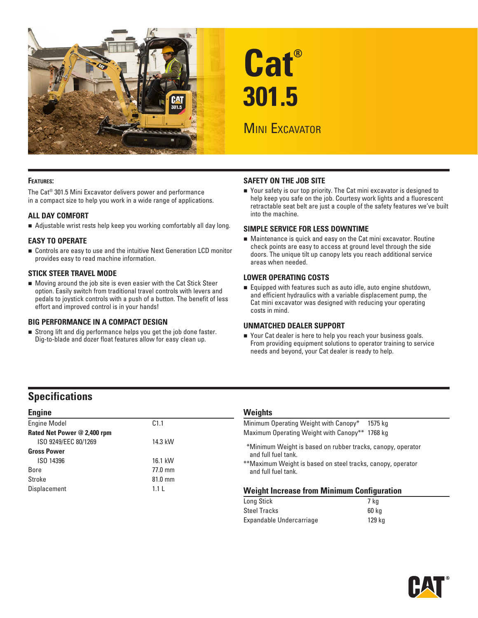

# **Cat® 301.5**

# **MINI EXCAVATOR**

#### **Features:**

The Cat® 301.5 Mini Excavator delivers power and performance in a compact size to help you work in a wide range of applications.

#### **ALL DAY COMFORT**

Adjustable wrist rests help keep you working comfortably all day long.

#### **EASY TO OPERATE**

Controls are easy to use and the intuitive Next Generation LCD monitor provides easy to read machine information.

#### **STICK STEER TRAVEL MODE**

Moving around the job site is even easier with the Cat Stick Steer option. Easily switch from traditional travel controls with levers and pedals to joystick controls with a push of a button. The benefit of less effort and improved control is in your hands!

#### **BIG PERFORMANCE IN A COMPACT DESIGN**

Strong lift and dig performance helps you get the job done faster. Dig-to-blade and dozer float features allow for easy clean up.

#### **SAFETY ON THE JOB SITE**

Your safety is our top priority. The Cat mini excavator is designed to help keep you safe on the job. Courtesy work lights and a fluorescent retractable seat belt are just a couple of the safety features we've built into the machine.

#### **SIMPLE SERVICE FOR LESS DOWNTIME**

Maintenance is quick and easy on the Cat mini excavator. Routine check points are easy to access at ground level through the side doors. The unique tilt up canopy lets you reach additional service areas when needed.

#### **LOWER OPERATING COSTS**

Equipped with features such as auto idle, auto engine shutdown, and efficient hydraulics with a variable displacement pump, the Cat mini excavator was designed with reducing your operating costs in mind.

#### **UNMATCHED DEALER SUPPORT**

■ Your Cat dealer is here to help you reach your business goals. From providing equipment solutions to operator training to service needs and beyond, your Cat dealer is ready to help.

## **Specifications**

| <b>Engine</b>               |           |
|-----------------------------|-----------|
| <b>Engine Model</b>         | C1.1      |
| Rated Net Power @ 2,400 rpm |           |
| ISO 9249/EEC 80/1269        | 14.3 kW   |
| <b>Gross Power</b>          |           |
| ISO 14396                   | 16.1 kW   |
| Bore                        | 77.0 mm   |
| Stroke                      | $81.0$ mm |
| Displacement                | 1.11      |

#### **Weights**

| <b>Weight Increase from Minimum Configuration</b>                                  |  |
|------------------------------------------------------------------------------------|--|
| **Maximum Weight is based on steel tracks, canopy, operator<br>and full fuel tank. |  |
| *Minimum Weight is based on rubber tracks, canopy, operator<br>and full fuel tank. |  |
| Maximum Operating Weight with Canopy** 1768 kg                                     |  |
| Minimum Operating Weight with Canopy*<br>1575 ka                                   |  |
|                                                                                    |  |

| Long Stick               | 7 ka   |
|--------------------------|--------|
| <b>Steel Tracks</b>      | 60 ka  |
| Expandable Undercarriage | 129 ka |

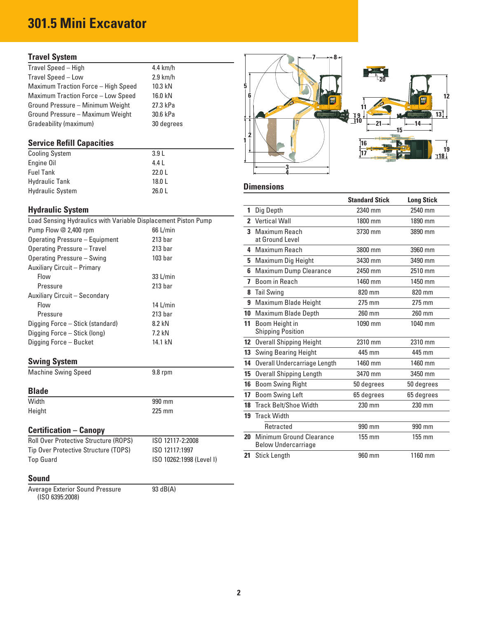# **301.5 Mini Excavator**

### **Travel System**

| 4.4 km/h   |            |
|------------|------------|
| $2.9$ km/h | եշմ        |
| 10.3 kN    |            |
| 16.0 kN    |            |
| 27.3 kPa   |            |
| 30.6 kPa   |            |
| 30 degrees |            |
|            | <b>PAT</b> |

### **Service Refill Capacities**

| <b>Cooling System</b>   | 3.9L   |
|-------------------------|--------|
| Engine Oil              | 4.4    |
| <b>Fuel Tank</b>        | 22.0 L |
| <b>Hydraulic Tank</b>   | 18.0 L |
| <b>Hydraulic System</b> | 26.0 L |

### **Hydraulic System**

| Load Sensing Hydraulics with Variable Displacement Piston Pump |                    | 2 Vertical Wall |                          |
|----------------------------------------------------------------|--------------------|-----------------|--------------------------|
| Pump Flow @ 2,400 rpm                                          | 66 L/min           |                 | 3 Maximum Reach          |
| Operating Pressure - Equipment                                 | 213 <sub>bar</sub> |                 | at Ground Level          |
| Operating Pressure - Travel                                    | 213 <sub>bar</sub> |                 | 4 Maximum Reach          |
| Operating Pressure - Swing                                     | 103 <sub>bar</sub> |                 | 5 Maximum Dig Hei        |
| Auxiliary Circuit - Primary                                    |                    |                 | 6 Maximum Dump C         |
| Flow                                                           | $33$ L/min         |                 | 7 Boom in Reach          |
| Pressure                                                       | 213 <sub>bar</sub> |                 | 8 Tail Swing             |
| Auxiliary Circuit - Secondary                                  |                    |                 |                          |
| Flow                                                           | 14 $L/min$         |                 | 9 Maximum Blade H        |
| Pressure                                                       | 213 <sub>bar</sub> |                 | 10 Maximum Blade D       |
| Digging Force - Stick (standard)                               | 8.2 kN             | 11              | Boom Height in           |
| Digging Force - Stick (long)                                   | 7.2 kN             |                 | <b>Shipping Position</b> |
| Digging Force - Bucket                                         | 14.1 kN            |                 | 12 Overall Shipping H    |
|                                                                |                    |                 |                          |

| <b>Swing System</b>        |           |
|----------------------------|-----------|
| <b>Machine Swing Speed</b> | $9.8$ rpm |

#### **Blade**

| Width  | 990 mm   |
|--------|----------|
| Height | $225$ mm |

### **Certification – Canopy**

| <b>Roll Over Protective Structure (ROPS)</b> | ISO 12117-2:2008         |
|----------------------------------------------|--------------------------|
| Tip Over Protective Structure (TOPS)         | ISO 12117:1997           |
| <b>Top Guard</b>                             | ISO 10262:1998 (Level I) |

#### **Sound**

Average Exterior Sound Pressure 93 dB(A) (ISO 6395:2008)



#### 26.0 L **Dimensions**

|                                                                       |                                        |    |                                                        | <b>Standard Stick</b> | <b>Long Stick</b> |
|-----------------------------------------------------------------------|----------------------------------------|----|--------------------------------------------------------|-----------------------|-------------------|
| <b>Hydraulic System</b>                                               |                                        |    | Dig Depth                                              | 2340 mm               | 2540 mm           |
| Load Sensing Hydraulics with Variable Displacement Piston Pump        |                                        |    | 2 Vertical Wall                                        | 1800 mm               | 1890 mm           |
| Pump Flow @ 2,400 rpm                                                 | $66$ L/min                             |    | 3 Maximum Reach                                        | 3730 mm               | 3890 mm           |
| <b>Operating Pressure - Equipment</b>                                 | 213 <sub>bar</sub>                     |    | at Ground Level                                        |                       |                   |
| Operating Pressure - Travel                                           | 213 <sub>bar</sub>                     |    | 4 Maximum Reach                                        | 3800 mm               | 3960 mm           |
| Operating Pressure - Swing                                            | 103 <sub>bar</sub>                     |    | 5 Maximum Dig Height                                   | 3430 mm               | 3490 mm           |
| <b>Auxiliary Circuit - Primary</b>                                    |                                        |    | 6 Maximum Dump Clearance                               | 2450 mm               | 2510 mm           |
| Flow                                                                  | 33 L/min                               |    | 7 Boom in Reach                                        | 1460 mm               | 1450 mm           |
| Pressure                                                              | 213 <sub>bar</sub>                     |    | 8 Tail Swing                                           | 820 mm                | 820 mm            |
| Auxiliary Circuit - Secondary                                         |                                        |    |                                                        |                       |                   |
| Flow                                                                  | $14$ L/min                             |    | 9 Maximum Blade Height                                 | 275 mm                | 275 mm            |
| Pressure                                                              | 213 <sub>bar</sub>                     |    | 10 Maximum Blade Depth                                 | 260 mm                | 260 mm            |
| Digging Force – Stick (standard)                                      | 8.2 kN                                 | 11 | Boom Height in                                         | 1090 mm               | 1040 mm           |
| Digging Force – Stick (long)                                          | 7.2 kN                                 |    | <b>Shipping Position</b>                               |                       |                   |
| Digging Force – Bucket                                                | 14.1 kN                                |    | 12 Overall Shipping Height                             | 2310 mm               | 2310 mm           |
|                                                                       |                                        |    | <b>13</b> Swing Bearing Height                         | 445 mm                | 445 mm            |
| <b>Swing System</b>                                                   |                                        | 14 | Overall Undercarriage Length                           | 1460 mm               | 1460 mm           |
| <b>Machine Swing Speed</b>                                            | $9.8$ rpm                              |    | 15 Overall Shipping Length                             | 3470 mm               | 3450 mm           |
|                                                                       |                                        |    | 16 Boom Swing Right                                    | 50 degrees            | 50 degrees        |
| <b>Blade</b>                                                          |                                        | 17 | <b>Boom Swing Left</b>                                 | 65 degrees            | 65 degrees        |
| Width                                                                 | 990 mm                                 |    | 18 Track Belt/Shoe Width                               | 230 mm                | 230 mm            |
| Height                                                                | 225 mm                                 |    | 19 Track Width                                         |                       |                   |
| <b>Certification - Canopy</b>                                         |                                        |    | Retracted                                              | 990 mm                | 990 mm            |
| Roll Over Protective Structure (ROPS)                                 | ISO 12117-2:2008                       | 20 | Minimum Ground Clearance<br><b>Below Undercarriage</b> | 155 mm                | $155 \text{ mm}$  |
| Tip Over Protective Structure (TOPS)<br>$T_{\alpha n}$ $C_{\alpha n}$ | ISO 12117:1997<br>100.1000330000000001 |    | 21 Stick Length                                        | 960 mm                | 1160 mm           |
|                                                                       |                                        |    |                                                        |                       |                   |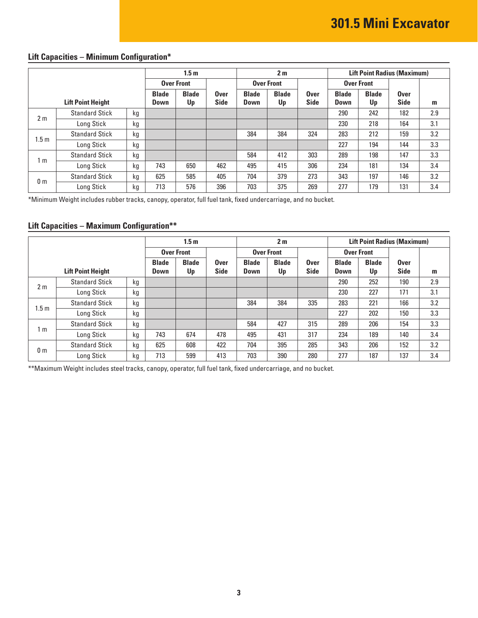# **Lift Capacities – Minimum Configuration\***

| 1.5 <sub>m</sub> |                          |    |                   |              |                   | 2 <sub>m</sub> |                   |             | <b>Lift Point Radius (Maximum)</b> |              |             |     |
|------------------|--------------------------|----|-------------------|--------------|-------------------|----------------|-------------------|-------------|------------------------------------|--------------|-------------|-----|
|                  |                          |    | <b>Over Front</b> |              | <b>Over Front</b> |                | <b>Over Front</b> |             |                                    |              |             |     |
|                  |                          |    | <b>Blade</b>      | <b>Blade</b> | <b>Over</b>       | <b>Blade</b>   | <b>Blade</b>      | <b>Over</b> | <b>Blade</b>                       | <b>Blade</b> | <b>Over</b> |     |
|                  | <b>Lift Point Height</b> |    | Down              | Up           | <b>Side</b>       | <b>Down</b>    | Up                | <b>Side</b> | <b>Down</b>                        | Up           | <b>Side</b> | m   |
| 2 <sub>m</sub>   | <b>Standard Stick</b>    | kg |                   |              |                   |                |                   |             | 290                                | 242          | 182         | 2.9 |
|                  | Long Stick               | kg |                   |              |                   |                |                   |             | 230                                | 218          | 164         | 3.1 |
| 1.5 <sub>m</sub> | <b>Standard Stick</b>    | kg |                   |              |                   | 384            | 384               | 324         | 283                                | 212          | 159         | 3.2 |
|                  | Long Stick               | kg |                   |              |                   |                |                   |             | 227                                | 194          | 144         | 3.3 |
| 1 m              | <b>Standard Stick</b>    | kg |                   |              |                   | 584            | 412               | 303         | 289                                | 198          | 147         | 3.3 |
|                  | Long Stick               | kg | 743               | 650          | 462               | 495            | 415               | 306         | 234                                | 181          | 134         | 3.4 |
| 0 <sub>m</sub>   | <b>Standard Stick</b>    | kg | 625               | 585          | 405               | 704            | 379               | 273         | 343                                | 197          | 146         | 3.2 |
|                  | Long Stick               | kg | 713               | 576          | 396               | 703            | 375               | 269         | 277                                | 179          | 131         | 3.4 |

\*Minimum Weight includes rubber tracks, canopy, operator, full fuel tank, fixed undercarriage, and no bucket.

### **Lift Capacities – Maximum Configuration\*\***

|                |                          |    | 1.5 <sub>m</sub>     |                    |                            | 2 <sub>m</sub>       |                    |                            | <b>Lift Point Radius (Maximum)</b> |                    |                            |     |
|----------------|--------------------------|----|----------------------|--------------------|----------------------------|----------------------|--------------------|----------------------------|------------------------------------|--------------------|----------------------------|-----|
|                |                          |    | <b>Over Front</b>    |                    |                            | <b>Over Front</b>    |                    | <b>Over Front</b>          |                                    |                    |                            |     |
|                | <b>Lift Point Height</b> |    | <b>Blade</b><br>Down | <b>Blade</b><br>Up | <b>Over</b><br><b>Side</b> | <b>Blade</b><br>Down | <b>Blade</b><br>Up | <b>Over</b><br><b>Side</b> | <b>Blade</b><br>Down               | <b>Blade</b><br>Up | <b>Over</b><br><b>Side</b> | m   |
| 2 <sub>m</sub> | <b>Standard Stick</b>    | kg |                      |                    |                            |                      |                    |                            | 290                                | 252                | 190                        | 2.9 |
|                | Long Stick               | kg |                      |                    |                            |                      |                    |                            | 230                                | 227                | 171                        | 3.1 |
| .5m            | <b>Standard Stick</b>    | kg |                      |                    |                            | 384                  | 384                | 335                        | 283                                | 221                | 166                        | 3.2 |
|                | Long Stick               | kg |                      |                    |                            |                      |                    |                            | 227                                | 202                | 150                        | 3.3 |
| 1 m            | <b>Standard Stick</b>    | kg |                      |                    |                            | 584                  | 427                | 315                        | 289                                | 206                | 154                        | 3.3 |
|                | Long Stick               | kg | 743                  | 674                | 478                        | 495                  | 431                | 317                        | 234                                | 189                | 140                        | 3.4 |
| 0 <sub>m</sub> | <b>Standard Stick</b>    | kg | 625                  | 608                | 422                        | 704                  | 395                | 285                        | 343                                | 206                | 152                        | 3.2 |
|                | Long Stick               | kg | 713                  | 599                | 413                        | 703                  | 390                | 280                        | 277                                | 187                | 137                        | 3.4 |

\*\*Maximum Weight includes steel tracks, canopy, operator, full fuel tank, fixed undercarriage, and no bucket.